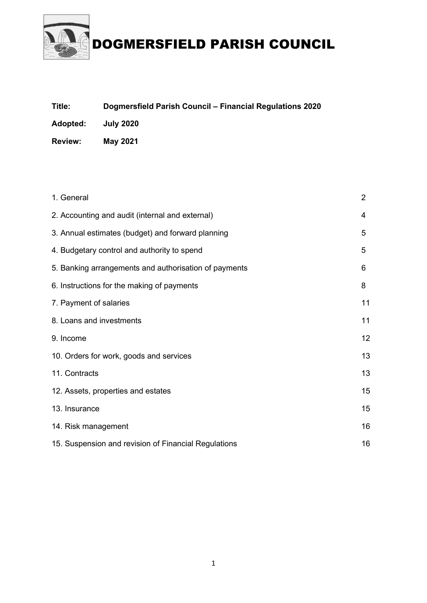

| Title:         | Dogmersfield Parish Council - Financial Regulations 2020 |
|----------------|----------------------------------------------------------|
| Adopted:       | <b>July 2020</b>                                         |
| <b>Review:</b> | May 2021                                                 |

| 1. General                                            | $\overline{2}$ |
|-------------------------------------------------------|----------------|
| 2. Accounting and audit (internal and external)       | 4              |
| 3. Annual estimates (budget) and forward planning     | 5              |
| 4. Budgetary control and authority to spend           | 5              |
| 5. Banking arrangements and authorisation of payments | 6              |
| 6. Instructions for the making of payments            | 8              |
| 7. Payment of salaries                                | 11             |
| 8. Loans and investments                              | 11             |
| 9. Income                                             | 12             |
| 10. Orders for work, goods and services               | 13             |
| 11. Contracts                                         | 13             |
| 12. Assets, properties and estates                    | 15             |
| 13. Insurance                                         | 15             |
| 14. Risk management                                   |                |
| 15. Suspension and revision of Financial Regulations  |                |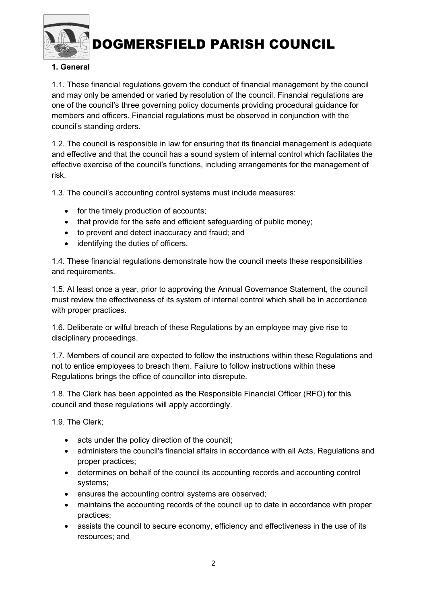

#### 1. General

1.1. These financial regulations govern the conduct of financial management by the council and may only be amended or varied by resolution of the council. Financial regulations are one of the council's three governing policy documents providing procedural guidance for members and officers. Financial regulations must be observed in conjunction with the council's standing orders.

1.2. The council is responsible in law for ensuring that its financial management is adequate and effective and that the council has a sound system of internal control which facilitates the effective exercise of the council's functions, including arrangements for the management of risk.

1.3. The council's accounting control systems must include measures:

- for the timely production of accounts;
- that provide for the safe and efficient safeguarding of public money;
- to prevent and detect inaccuracy and fraud; and
- identifying the duties of officers.

1.4. These financial regulations demonstrate how the council meets these responsibilities and requirements.

1.5. At least once a year, prior to approving the Annual Governance Statement, the council must review the effectiveness of its system of internal control which shall be in accordance with proper practices.

1.6. Deliberate or wilful breach of these Regulations by an employee may give rise to disciplinary proceedings.

1.7. Members of council are expected to follow the instructions within these Regulations and not to entice employees to breach them. Failure to follow instructions within these Regulations brings the office of councillor into disrepute.

1.8. The Clerk has been appointed as the Responsible Financial Officer (RFO) for this council and these regulations will apply accordingly.

1.9. The Clerk;

- acts under the policy direction of the council;
- administers the council's financial affairs in accordance with all Acts, Regulations and proper practices;
- determines on behalf of the council its accounting records and accounting control systems;
- ensures the accounting control systems are observed;
- maintains the accounting records of the council up to date in accordance with proper practices;
- assists the council to secure economy, efficiency and effectiveness in the use of its resources; and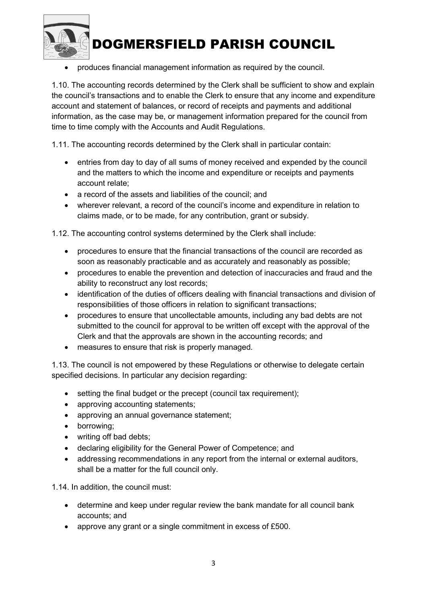

produces financial management information as required by the council.

1.10. The accounting records determined by the Clerk shall be sufficient to show and explain the council's transactions and to enable the Clerk to ensure that any income and expenditure account and statement of balances, or record of receipts and payments and additional information, as the case may be, or management information prepared for the council from time to time comply with the Accounts and Audit Regulations.

1.11. The accounting records determined by the Clerk shall in particular contain:

- entries from day to day of all sums of money received and expended by the council and the matters to which the income and expenditure or receipts and payments account relate;
- a record of the assets and liabilities of the council; and
- wherever relevant, a record of the council's income and expenditure in relation to claims made, or to be made, for any contribution, grant or subsidy.

1.12. The accounting control systems determined by the Clerk shall include:

- procedures to ensure that the financial transactions of the council are recorded as soon as reasonably practicable and as accurately and reasonably as possible;
- procedures to enable the prevention and detection of inaccuracies and fraud and the ability to reconstruct any lost records;
- identification of the duties of officers dealing with financial transactions and division of responsibilities of those officers in relation to significant transactions;
- procedures to ensure that uncollectable amounts, including any bad debts are not submitted to the council for approval to be written off except with the approval of the Clerk and that the approvals are shown in the accounting records; and
- measures to ensure that risk is properly managed.

1.13. The council is not empowered by these Regulations or otherwise to delegate certain specified decisions. In particular any decision regarding:

- setting the final budget or the precept (council tax requirement);
- approving accounting statements;
- approving an annual governance statement;
- borrowing;
- writing off bad debts;
- declaring eligibility for the General Power of Competence; and
- addressing recommendations in any report from the internal or external auditors, shall be a matter for the full council only.

1.14. In addition, the council must:

- determine and keep under regular review the bank mandate for all council bank accounts; and
- approve any grant or a single commitment in excess of £500.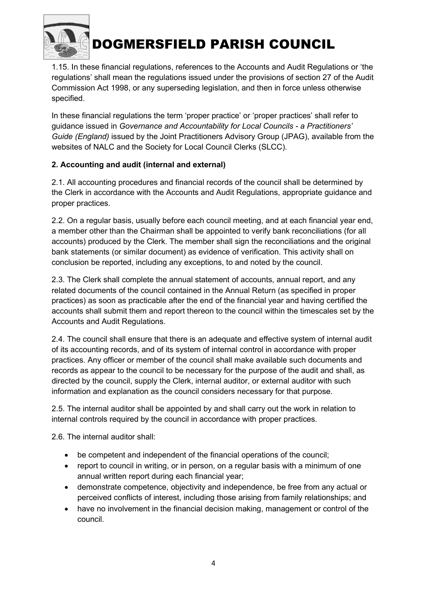

1.15. In these financial regulations, references to the Accounts and Audit Regulations or 'the regulations' shall mean the regulations issued under the provisions of section 27 of the Audit Commission Act 1998, or any superseding legislation, and then in force unless otherwise specified.

In these financial regulations the term 'proper practice' or 'proper practices' shall refer to guidance issued in Governance and Accountability for Local Councils - a Practitioners' Guide (England) issued by the Joint Practitioners Advisory Group (JPAG), available from the websites of NALC and the Society for Local Council Clerks (SLCC).

### 2. Accounting and audit (internal and external)

2.1. All accounting procedures and financial records of the council shall be determined by the Clerk in accordance with the Accounts and Audit Regulations, appropriate guidance and proper practices.

2.2. On a regular basis, usually before each council meeting, and at each financial year end, a member other than the Chairman shall be appointed to verify bank reconciliations (for all accounts) produced by the Clerk. The member shall sign the reconciliations and the original bank statements (or similar document) as evidence of verification. This activity shall on conclusion be reported, including any exceptions, to and noted by the council.

2.3. The Clerk shall complete the annual statement of accounts, annual report, and any related documents of the council contained in the Annual Return (as specified in proper practices) as soon as practicable after the end of the financial year and having certified the accounts shall submit them and report thereon to the council within the timescales set by the Accounts and Audit Regulations.

2.4. The council shall ensure that there is an adequate and effective system of internal audit of its accounting records, and of its system of internal control in accordance with proper practices. Any officer or member of the council shall make available such documents and records as appear to the council to be necessary for the purpose of the audit and shall, as directed by the council, supply the Clerk, internal auditor, or external auditor with such information and explanation as the council considers necessary for that purpose.

2.5. The internal auditor shall be appointed by and shall carry out the work in relation to internal controls required by the council in accordance with proper practices.

2.6. The internal auditor shall:

- be competent and independent of the financial operations of the council;
- report to council in writing, or in person, on a regular basis with a minimum of one annual written report during each financial year;
- demonstrate competence, objectivity and independence, be free from any actual or perceived conflicts of interest, including those arising from family relationships; and
- have no involvement in the financial decision making, management or control of the council.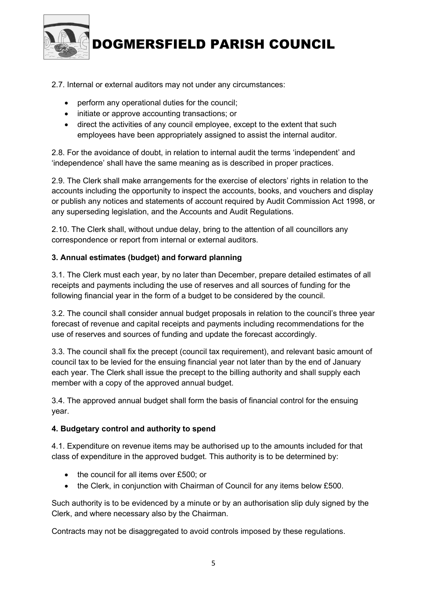

#### 2.7. Internal or external auditors may not under any circumstances:

- perform any operational duties for the council;
- initiate or approve accounting transactions; or
- direct the activities of any council employee, except to the extent that such employees have been appropriately assigned to assist the internal auditor.

2.8. For the avoidance of doubt, in relation to internal audit the terms 'independent' and 'independence' shall have the same meaning as is described in proper practices.

2.9. The Clerk shall make arrangements for the exercise of electors' rights in relation to the accounts including the opportunity to inspect the accounts, books, and vouchers and display or publish any notices and statements of account required by Audit Commission Act 1998, or any superseding legislation, and the Accounts and Audit Regulations.

2.10. The Clerk shall, without undue delay, bring to the attention of all councillors any correspondence or report from internal or external auditors.

#### 3. Annual estimates (budget) and forward planning

3.1. The Clerk must each year, by no later than December, prepare detailed estimates of all receipts and payments including the use of reserves and all sources of funding for the following financial year in the form of a budget to be considered by the council.

3.2. The council shall consider annual budget proposals in relation to the council's three year forecast of revenue and capital receipts and payments including recommendations for the use of reserves and sources of funding and update the forecast accordingly.

3.3. The council shall fix the precept (council tax requirement), and relevant basic amount of council tax to be levied for the ensuing financial year not later than by the end of January each year. The Clerk shall issue the precept to the billing authority and shall supply each member with a copy of the approved annual budget.

3.4. The approved annual budget shall form the basis of financial control for the ensuing year.

#### 4. Budgetary control and authority to spend

4.1. Expenditure on revenue items may be authorised up to the amounts included for that class of expenditure in the approved budget. This authority is to be determined by:

- the council for all items over £500; or
- the Clerk, in conjunction with Chairman of Council for any items below £500.

Such authority is to be evidenced by a minute or by an authorisation slip duly signed by the Clerk, and where necessary also by the Chairman.

Contracts may not be disaggregated to avoid controls imposed by these regulations.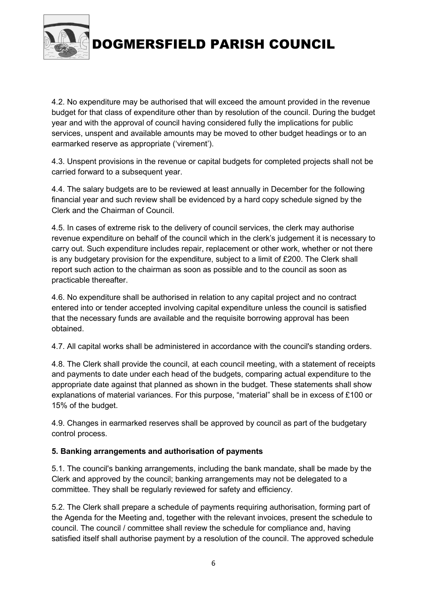

4.2. No expenditure may be authorised that will exceed the amount provided in the revenue budget for that class of expenditure other than by resolution of the council. During the budget year and with the approval of council having considered fully the implications for public services, unspent and available amounts may be moved to other budget headings or to an earmarked reserve as appropriate ('virement').

4.3. Unspent provisions in the revenue or capital budgets for completed projects shall not be carried forward to a subsequent year.

4.4. The salary budgets are to be reviewed at least annually in December for the following financial year and such review shall be evidenced by a hard copy schedule signed by the Clerk and the Chairman of Council.

4.5. In cases of extreme risk to the delivery of council services, the clerk may authorise revenue expenditure on behalf of the council which in the clerk's judgement it is necessary to carry out. Such expenditure includes repair, replacement or other work, whether or not there is any budgetary provision for the expenditure, subject to a limit of £200. The Clerk shall report such action to the chairman as soon as possible and to the council as soon as practicable thereafter.

4.6. No expenditure shall be authorised in relation to any capital project and no contract entered into or tender accepted involving capital expenditure unless the council is satisfied that the necessary funds are available and the requisite borrowing approval has been obtained.

4.7. All capital works shall be administered in accordance with the council's standing orders.

4.8. The Clerk shall provide the council, at each council meeting, with a statement of receipts and payments to date under each head of the budgets, comparing actual expenditure to the appropriate date against that planned as shown in the budget. These statements shall show explanations of material variances. For this purpose, "material" shall be in excess of £100 or 15% of the budget.

4.9. Changes in earmarked reserves shall be approved by council as part of the budgetary control process.

### 5. Banking arrangements and authorisation of payments

5.1. The council's banking arrangements, including the bank mandate, shall be made by the Clerk and approved by the council; banking arrangements may not be delegated to a committee. They shall be regularly reviewed for safety and efficiency.

5.2. The Clerk shall prepare a schedule of payments requiring authorisation, forming part of the Agenda for the Meeting and, together with the relevant invoices, present the schedule to council. The council / committee shall review the schedule for compliance and, having satisfied itself shall authorise payment by a resolution of the council. The approved schedule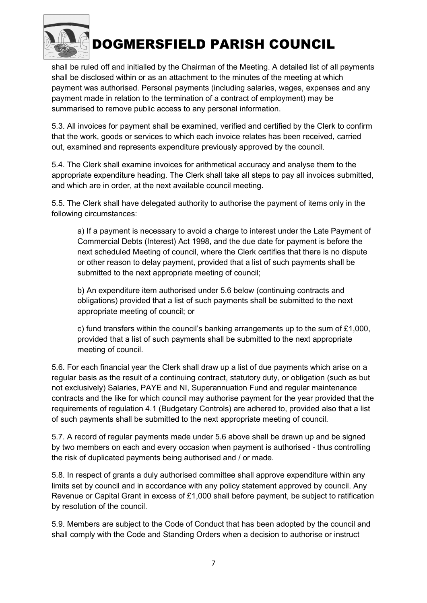

shall be ruled off and initialled by the Chairman of the Meeting. A detailed list of all payments shall be disclosed within or as an attachment to the minutes of the meeting at which payment was authorised. Personal payments (including salaries, wages, expenses and any payment made in relation to the termination of a contract of employment) may be summarised to remove public access to any personal information.

5.3. All invoices for payment shall be examined, verified and certified by the Clerk to confirm that the work, goods or services to which each invoice relates has been received, carried out, examined and represents expenditure previously approved by the council.

5.4. The Clerk shall examine invoices for arithmetical accuracy and analyse them to the appropriate expenditure heading. The Clerk shall take all steps to pay all invoices submitted, and which are in order, at the next available council meeting.

5.5. The Clerk shall have delegated authority to authorise the payment of items only in the following circumstances:

a) If a payment is necessary to avoid a charge to interest under the Late Payment of Commercial Debts (Interest) Act 1998, and the due date for payment is before the next scheduled Meeting of council, where the Clerk certifies that there is no dispute or other reason to delay payment, provided that a list of such payments shall be submitted to the next appropriate meeting of council;

b) An expenditure item authorised under 5.6 below (continuing contracts and obligations) provided that a list of such payments shall be submitted to the next appropriate meeting of council; or

c) fund transfers within the council's banking arrangements up to the sum of £1,000, provided that a list of such payments shall be submitted to the next appropriate meeting of council.

5.6. For each financial year the Clerk shall draw up a list of due payments which arise on a regular basis as the result of a continuing contract, statutory duty, or obligation (such as but not exclusively) Salaries, PAYE and NI, Superannuation Fund and regular maintenance contracts and the like for which council may authorise payment for the year provided that the requirements of regulation 4.1 (Budgetary Controls) are adhered to, provided also that a list of such payments shall be submitted to the next appropriate meeting of council.

5.7. A record of regular payments made under 5.6 above shall be drawn up and be signed by two members on each and every occasion when payment is authorised - thus controlling the risk of duplicated payments being authorised and / or made.

5.8. In respect of grants a duly authorised committee shall approve expenditure within any limits set by council and in accordance with any policy statement approved by council. Any Revenue or Capital Grant in excess of £1,000 shall before payment, be subject to ratification by resolution of the council.

5.9. Members are subject to the Code of Conduct that has been adopted by the council and shall comply with the Code and Standing Orders when a decision to authorise or instruct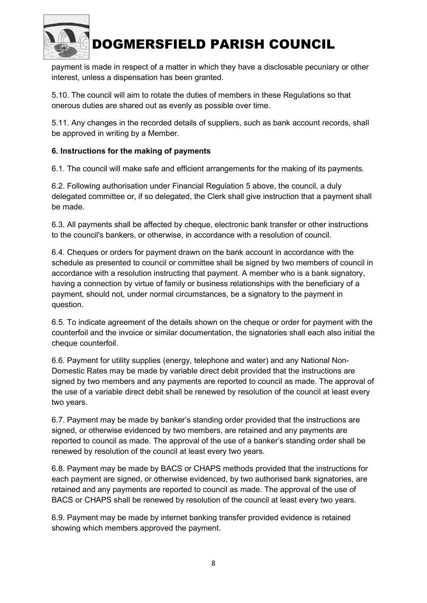

payment is made in respect of a matter in which they have a disclosable pecuniary or other interest, unless a dispensation has been granted.

5.10. The council will aim to rotate the duties of members in these Regulations so that onerous duties are shared out as evenly as possible over time.

5.11. Any changes in the recorded details of suppliers, such as bank account records, shall be approved in writing by a Member.

#### 6. Instructions for the making of payments

6.1. The council will make safe and efficient arrangements for the making of its payments.

6.2. Following authorisation under Financial Regulation 5 above, the council, a duly delegated committee or, if so delegated, the Clerk shall give instruction that a payment shall be made.

6.3. All payments shall be affected by cheque, electronic bank transfer or other instructions to the council's bankers, or otherwise, in accordance with a resolution of council.

6.4. Cheques or orders for payment drawn on the bank account in accordance with the schedule as presented to council or committee shall be signed by two members of council in accordance with a resolution instructing that payment. A member who is a bank signatory, having a connection by virtue of family or business relationships with the beneficiary of a payment, should not, under normal circumstances, be a signatory to the payment in question.

6.5. To indicate agreement of the details shown on the cheque or order for payment with the counterfoil and the invoice or similar documentation, the signatories shall each also initial the cheque counterfoil.

6.6. Payment for utility supplies (energy, telephone and water) and any National Non-Domestic Rates may be made by variable direct debit provided that the instructions are signed by two members and any payments are reported to council as made. The approval of the use of a variable direct debit shall be renewed by resolution of the council at least every two years.

6.7. Payment may be made by banker's standing order provided that the instructions are signed, or otherwise evidenced by two members, are retained and any payments are reported to council as made. The approval of the use of a banker's standing order shall be renewed by resolution of the council at least every two years.

6.8. Payment may be made by BACS or CHAPS methods provided that the instructions for each payment are signed, or otherwise evidenced, by two authorised bank signatories, are retained and any payments are reported to council as made. The approval of the use of BACS or CHAPS shall be renewed by resolution of the council at least every two years.

6.9. Payment may be made by internet banking transfer provided evidence is retained showing which members approved the payment.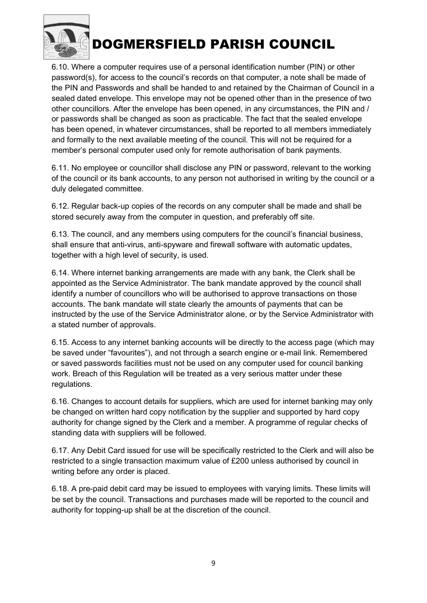

6.10. Where a computer requires use of a personal identification number (PIN) or other password(s), for access to the council's records on that computer, a note shall be made of the PIN and Passwords and shall be handed to and retained by the Chairman of Council in a sealed dated envelope. This envelope may not be opened other than in the presence of two other councillors. After the envelope has been opened, in any circumstances, the PIN and / or passwords shall be changed as soon as practicable. The fact that the sealed envelope has been opened, in whatever circumstances, shall be reported to all members immediately and formally to the next available meeting of the council. This will not be required for a member's personal computer used only for remote authorisation of bank payments.

6.11. No employee or councillor shall disclose any PIN or password, relevant to the working of the council or its bank accounts, to any person not authorised in writing by the council or a duly delegated committee.

6.12. Regular back-up copies of the records on any computer shall be made and shall be stored securely away from the computer in question, and preferably off site.

6.13. The council, and any members using computers for the council's financial business, shall ensure that anti-virus, anti-spyware and firewall software with automatic updates, together with a high level of security, is used.

6.14. Where internet banking arrangements are made with any bank, the Clerk shall be appointed as the Service Administrator. The bank mandate approved by the council shall identify a number of councillors who will be authorised to approve transactions on those accounts. The bank mandate will state clearly the amounts of payments that can be instructed by the use of the Service Administrator alone, or by the Service Administrator with a stated number of approvals.

6.15. Access to any internet banking accounts will be directly to the access page (which may be saved under "favourites"), and not through a search engine or e-mail link. Remembered or saved passwords facilities must not be used on any computer used for council banking work. Breach of this Regulation will be treated as a very serious matter under these regulations.

6.16. Changes to account details for suppliers, which are used for internet banking may only be changed on written hard copy notification by the supplier and supported by hard copy authority for change signed by the Clerk and a member. A programme of regular checks of standing data with suppliers will be followed.

6.17. Any Debit Card issued for use will be specifically restricted to the Clerk and will also be restricted to a single transaction maximum value of £200 unless authorised by council in writing before any order is placed.

6.18. A pre-paid debit card may be issued to employees with varying limits. These limits will be set by the council. Transactions and purchases made will be reported to the council and authority for topping-up shall be at the discretion of the council.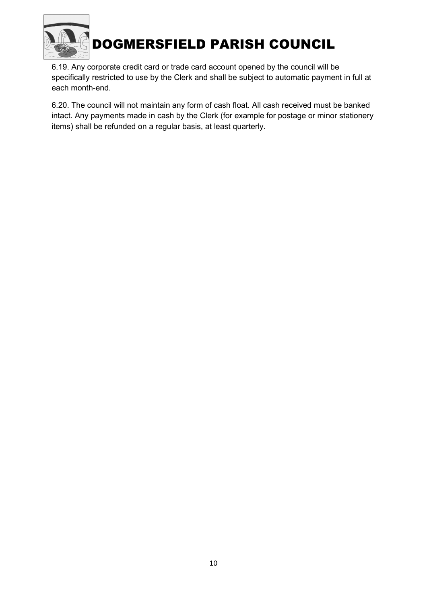

6.19. Any corporate credit card or trade card account opened by the council will be specifically restricted to use by the Clerk and shall be subject to automatic payment in full at each month-end.

6.20. The council will not maintain any form of cash float. All cash received must be banked intact. Any payments made in cash by the Clerk (for example for postage or minor stationery items) shall be refunded on a regular basis, at least quarterly.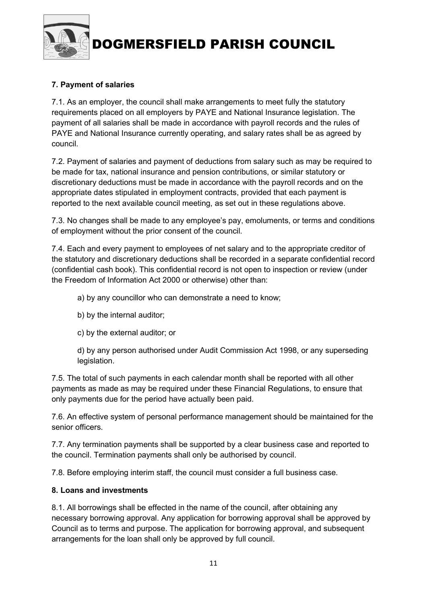

### 7. Payment of salaries

7.1. As an employer, the council shall make arrangements to meet fully the statutory requirements placed on all employers by PAYE and National Insurance legislation. The payment of all salaries shall be made in accordance with payroll records and the rules of PAYE and National Insurance currently operating, and salary rates shall be as agreed by council.

7.2. Payment of salaries and payment of deductions from salary such as may be required to be made for tax, national insurance and pension contributions, or similar statutory or discretionary deductions must be made in accordance with the payroll records and on the appropriate dates stipulated in employment contracts, provided that each payment is reported to the next available council meeting, as set out in these regulations above.

7.3. No changes shall be made to any employee's pay, emoluments, or terms and conditions of employment without the prior consent of the council.

7.4. Each and every payment to employees of net salary and to the appropriate creditor of the statutory and discretionary deductions shall be recorded in a separate confidential record (confidential cash book). This confidential record is not open to inspection or review (under the Freedom of Information Act 2000 or otherwise) other than:

- a) by any councillor who can demonstrate a need to know;
- b) by the internal auditor;
- c) by the external auditor; or

d) by any person authorised under Audit Commission Act 1998, or any superseding legislation.

7.5. The total of such payments in each calendar month shall be reported with all other payments as made as may be required under these Financial Regulations, to ensure that only payments due for the period have actually been paid.

7.6. An effective system of personal performance management should be maintained for the senior officers.

7.7. Any termination payments shall be supported by a clear business case and reported to the council. Termination payments shall only be authorised by council.

7.8. Before employing interim staff, the council must consider a full business case.

#### 8. Loans and investments

8.1. All borrowings shall be effected in the name of the council, after obtaining any necessary borrowing approval. Any application for borrowing approval shall be approved by Council as to terms and purpose. The application for borrowing approval, and subsequent arrangements for the loan shall only be approved by full council.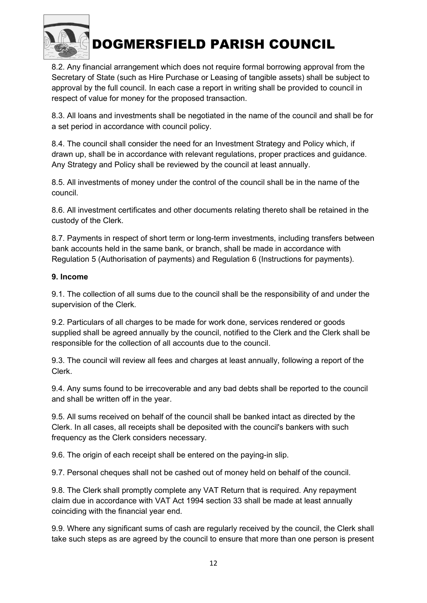

8.2. Any financial arrangement which does not require formal borrowing approval from the Secretary of State (such as Hire Purchase or Leasing of tangible assets) shall be subject to approval by the full council. In each case a report in writing shall be provided to council in respect of value for money for the proposed transaction.

8.3. All loans and investments shall be negotiated in the name of the council and shall be for a set period in accordance with council policy.

8.4. The council shall consider the need for an Investment Strategy and Policy which, if drawn up, shall be in accordance with relevant regulations, proper practices and guidance. Any Strategy and Policy shall be reviewed by the council at least annually.

8.5. All investments of money under the control of the council shall be in the name of the council.

8.6. All investment certificates and other documents relating thereto shall be retained in the custody of the Clerk.

8.7. Payments in respect of short term or long-term investments, including transfers between bank accounts held in the same bank, or branch, shall be made in accordance with Regulation 5 (Authorisation of payments) and Regulation 6 (Instructions for payments).

#### 9. Income

9.1. The collection of all sums due to the council shall be the responsibility of and under the supervision of the Clerk.

9.2. Particulars of all charges to be made for work done, services rendered or goods supplied shall be agreed annually by the council, notified to the Clerk and the Clerk shall be responsible for the collection of all accounts due to the council.

9.3. The council will review all fees and charges at least annually, following a report of the Clerk.

9.4. Any sums found to be irrecoverable and any bad debts shall be reported to the council and shall be written off in the year.

9.5. All sums received on behalf of the council shall be banked intact as directed by the Clerk. In all cases, all receipts shall be deposited with the council's bankers with such frequency as the Clerk considers necessary.

9.6. The origin of each receipt shall be entered on the paying-in slip.

9.7. Personal cheques shall not be cashed out of money held on behalf of the council.

9.8. The Clerk shall promptly complete any VAT Return that is required. Any repayment claim due in accordance with VAT Act 1994 section 33 shall be made at least annually coinciding with the financial year end.

9.9. Where any significant sums of cash are regularly received by the council, the Clerk shall take such steps as are agreed by the council to ensure that more than one person is present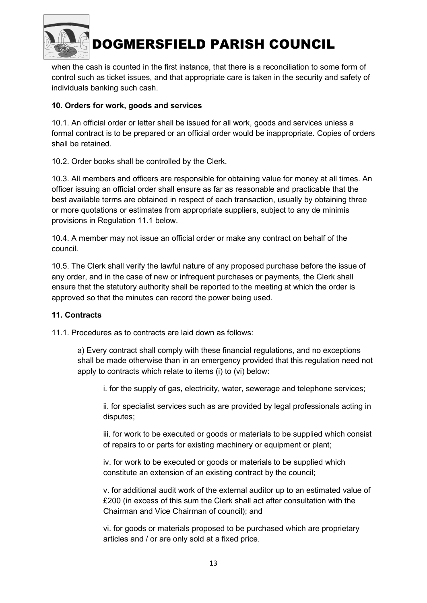

when the cash is counted in the first instance, that there is a reconciliation to some form of control such as ticket issues, and that appropriate care is taken in the security and safety of individuals banking such cash.

#### 10. Orders for work, goods and services

10.1. An official order or letter shall be issued for all work, goods and services unless a formal contract is to be prepared or an official order would be inappropriate. Copies of orders shall be retained.

10.2. Order books shall be controlled by the Clerk.

10.3. All members and officers are responsible for obtaining value for money at all times. An officer issuing an official order shall ensure as far as reasonable and practicable that the best available terms are obtained in respect of each transaction, usually by obtaining three or more quotations or estimates from appropriate suppliers, subject to any de minimis provisions in Regulation 11.1 below.

10.4. A member may not issue an official order or make any contract on behalf of the council.

10.5. The Clerk shall verify the lawful nature of any proposed purchase before the issue of any order, and in the case of new or infrequent purchases or payments, the Clerk shall ensure that the statutory authority shall be reported to the meeting at which the order is approved so that the minutes can record the power being used.

#### 11. Contracts

11.1. Procedures as to contracts are laid down as follows:

a) Every contract shall comply with these financial regulations, and no exceptions shall be made otherwise than in an emergency provided that this regulation need not apply to contracts which relate to items (i) to (vi) below:

i. for the supply of gas, electricity, water, sewerage and telephone services;

ii. for specialist services such as are provided by legal professionals acting in disputes;

iii. for work to be executed or goods or materials to be supplied which consist of repairs to or parts for existing machinery or equipment or plant;

iv. for work to be executed or goods or materials to be supplied which constitute an extension of an existing contract by the council;

v. for additional audit work of the external auditor up to an estimated value of £200 (in excess of this sum the Clerk shall act after consultation with the Chairman and Vice Chairman of council); and

vi. for goods or materials proposed to be purchased which are proprietary articles and / or are only sold at a fixed price.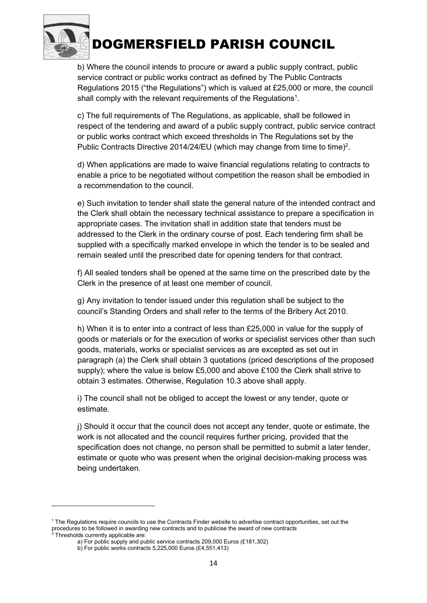

b) Where the council intends to procure or award a public supply contract, public service contract or public works contract as defined by The Public Contracts Regulations 2015 ("the Regulations") which is valued at £25,000 or more, the council shall comply with the relevant requirements of the Regulations<sup>1</sup>.

c) The full requirements of The Regulations, as applicable, shall be followed in respect of the tendering and award of a public supply contract, public service contract or public works contract which exceed thresholds in The Regulations set by the Public Contracts Directive 2014/24/EU (which may change from time to time)<sup>2</sup>.

d) When applications are made to waive financial regulations relating to contracts to enable a price to be negotiated without competition the reason shall be embodied in a recommendation to the council.

e) Such invitation to tender shall state the general nature of the intended contract and the Clerk shall obtain the necessary technical assistance to prepare a specification in appropriate cases. The invitation shall in addition state that tenders must be addressed to the Clerk in the ordinary course of post. Each tendering firm shall be supplied with a specifically marked envelope in which the tender is to be sealed and remain sealed until the prescribed date for opening tenders for that contract.

f) All sealed tenders shall be opened at the same time on the prescribed date by the Clerk in the presence of at least one member of council.

g) Any invitation to tender issued under this regulation shall be subject to the council's Standing Orders and shall refer to the terms of the Bribery Act 2010.

h) When it is to enter into a contract of less than £25,000 in value for the supply of goods or materials or for the execution of works or specialist services other than such goods, materials, works or specialist services as are excepted as set out in paragraph (a) the Clerk shall obtain 3 quotations (priced descriptions of the proposed supply); where the value is below £5,000 and above £100 the Clerk shall strive to obtain 3 estimates. Otherwise, Regulation 10.3 above shall apply.

i) The council shall not be obliged to accept the lowest or any tender, quote or estimate.

j) Should it occur that the council does not accept any tender, quote or estimate, the work is not allocated and the council requires further pricing, provided that the specification does not change, no person shall be permitted to submit a later tender, estimate or quote who was present when the original decision-making process was being undertaken.

<sup>1</sup> The Regulations require councils to use the Contracts Finder website to advertise contract opportunities, set out the procedures to be followed in awarding new contracts and to publicise the award of new contracts 2 Thresholds currently applicable are:

a) For public supply and public service contracts 209,000 Euros (£181,302)

b) For public works contracts 5,225,000 Euros (£4,551,413)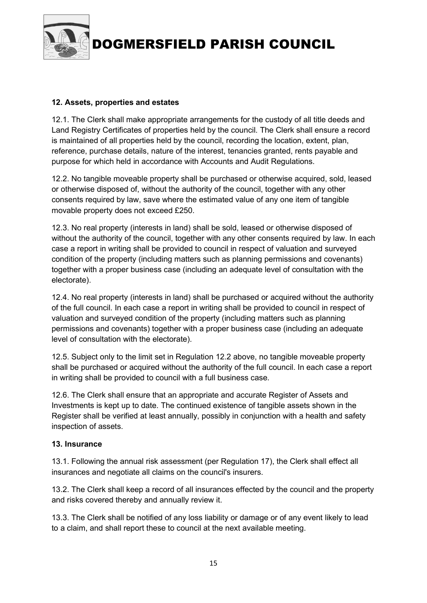

#### 12. Assets, properties and estates

12.1. The Clerk shall make appropriate arrangements for the custody of all title deeds and Land Registry Certificates of properties held by the council. The Clerk shall ensure a record is maintained of all properties held by the council, recording the location, extent, plan, reference, purchase details, nature of the interest, tenancies granted, rents payable and purpose for which held in accordance with Accounts and Audit Regulations.

12.2. No tangible moveable property shall be purchased or otherwise acquired, sold, leased or otherwise disposed of, without the authority of the council, together with any other consents required by law, save where the estimated value of any one item of tangible movable property does not exceed £250.

12.3. No real property (interests in land) shall be sold, leased or otherwise disposed of without the authority of the council, together with any other consents required by law. In each case a report in writing shall be provided to council in respect of valuation and surveyed condition of the property (including matters such as planning permissions and covenants) together with a proper business case (including an adequate level of consultation with the electorate).

12.4. No real property (interests in land) shall be purchased or acquired without the authority of the full council. In each case a report in writing shall be provided to council in respect of valuation and surveyed condition of the property (including matters such as planning permissions and covenants) together with a proper business case (including an adequate level of consultation with the electorate).

12.5. Subject only to the limit set in Regulation 12.2 above, no tangible moveable property shall be purchased or acquired without the authority of the full council. In each case a report in writing shall be provided to council with a full business case.

12.6. The Clerk shall ensure that an appropriate and accurate Register of Assets and Investments is kept up to date. The continued existence of tangible assets shown in the Register shall be verified at least annually, possibly in conjunction with a health and safety inspection of assets.

#### 13. Insurance

13.1. Following the annual risk assessment (per Regulation 17), the Clerk shall effect all insurances and negotiate all claims on the council's insurers.

13.2. The Clerk shall keep a record of all insurances effected by the council and the property and risks covered thereby and annually review it.

13.3. The Clerk shall be notified of any loss liability or damage or of any event likely to lead to a claim, and shall report these to council at the next available meeting.